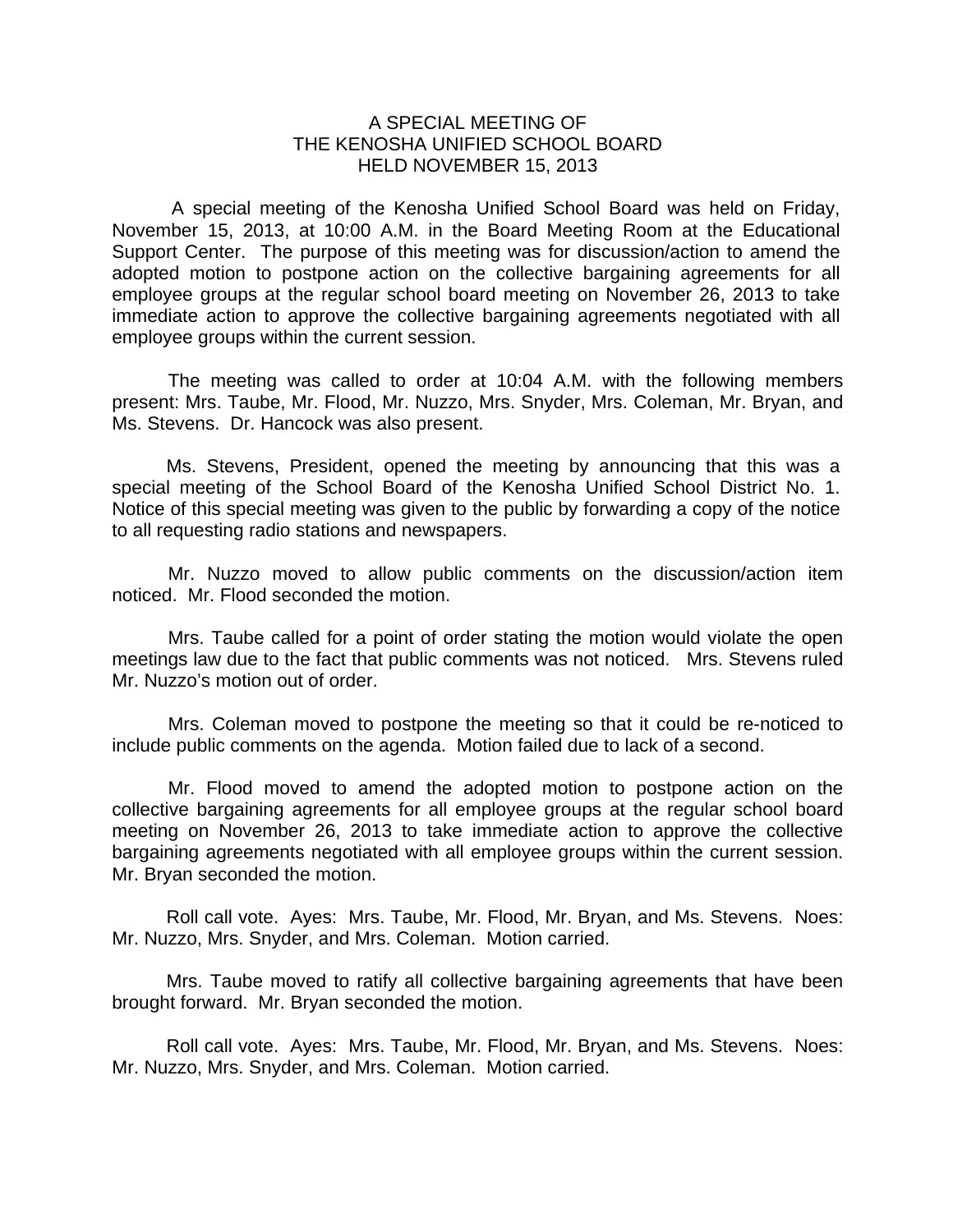## A SPECIAL MEETING OF THE KENOSHA UNIFIED SCHOOL BOARD HELD NOVEMBER 15, 2013

 A special meeting of the Kenosha Unified School Board was held on Friday, November 15, 2013, at 10:00 A.M. in the Board Meeting Room at the Educational Support Center. The purpose of this meeting was for discussion/action to amend the adopted motion to postpone action on the collective bargaining agreements for all employee groups at the regular school board meeting on November 26, 2013 to take immediate action to approve the collective bargaining agreements negotiated with all employee groups within the current session.

The meeting was called to order at 10:04 A.M. with the following members present: Mrs. Taube, Mr. Flood, Mr. Nuzzo, Mrs. Snyder, Mrs. Coleman, Mr. Bryan, and Ms. Stevens. Dr. Hancock was also present.

Ms. Stevens, President, opened the meeting by announcing that this was a special meeting of the School Board of the Kenosha Unified School District No. 1. Notice of this special meeting was given to the public by forwarding a copy of the notice to all requesting radio stations and newspapers.

 Mr. Nuzzo moved to allow public comments on the discussion/action item noticed. Mr. Flood seconded the motion.

 Mrs. Taube called for a point of order stating the motion would violate the open meetings law due to the fact that public comments was not noticed. Mrs. Stevens ruled Mr. Nuzzo's motion out of order.

 Mrs. Coleman moved to postpone the meeting so that it could be re-noticed to include public comments on the agenda. Motion failed due to lack of a second.

 Mr. Flood moved to amend the adopted motion to postpone action on the collective bargaining agreements for all employee groups at the regular school board meeting on November 26, 2013 to take immediate action to approve the collective bargaining agreements negotiated with all employee groups within the current session. Mr. Bryan seconded the motion.

 Roll call vote. Ayes: Mrs. Taube, Mr. Flood, Mr. Bryan, and Ms. Stevens. Noes: Mr. Nuzzo, Mrs. Snyder, and Mrs. Coleman. Motion carried.

 Mrs. Taube moved to ratify all collective bargaining agreements that have been brought forward. Mr. Bryan seconded the motion.

 Roll call vote. Ayes: Mrs. Taube, Mr. Flood, Mr. Bryan, and Ms. Stevens. Noes: Mr. Nuzzo, Mrs. Snyder, and Mrs. Coleman. Motion carried.